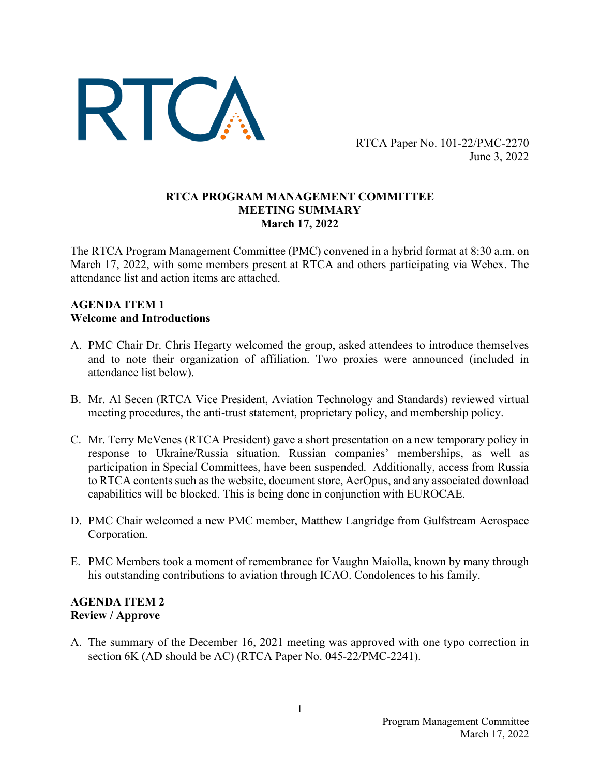

RTCA Paper No. 101-22/PMC-2270 June 3, 2022

### **RTCA PROGRAM MANAGEMENT COMMITTEE MEETING SUMMARY March 17, 2022**

The RTCA Program Management Committee (PMC) convened in a hybrid format at 8:30 a.m. on March 17, 2022, with some members present at RTCA and others participating via Webex. The attendance list and action items are attached.

### **AGENDA ITEM 1 Welcome and Introductions**

- A. PMC Chair Dr. Chris Hegarty welcomed the group, asked attendees to introduce themselves and to note their organization of affiliation. Two proxies were announced (included in attendance list below).
- B. Mr. Al Secen (RTCA Vice President, Aviation Technology and Standards) reviewed virtual meeting procedures, the anti-trust statement, proprietary policy, and membership policy.
- C. Mr. Terry McVenes (RTCA President) gave a short presentation on a new temporary policy in response to Ukraine/Russia situation. Russian companies' memberships, as well as participation in Special Committees, have been suspended. Additionally, access from Russia to RTCA contents such as the website, document store, AerOpus, and any associated download capabilities will be blocked. This is being done in conjunction with EUROCAE.
- D. PMC Chair welcomed a new PMC member, Matthew Langridge from Gulfstream Aerospace Corporation.
- E. PMC Members took a moment of remembrance for Vaughn Maiolla, known by many through his outstanding contributions to aviation through ICAO. Condolences to his family.

# **AGENDA ITEM 2 Review / Approve**

A. The summary of the December 16, 2021 meeting was approved with one typo correction in section 6K (AD should be AC) (RTCA Paper No. 045-22/PMC-2241).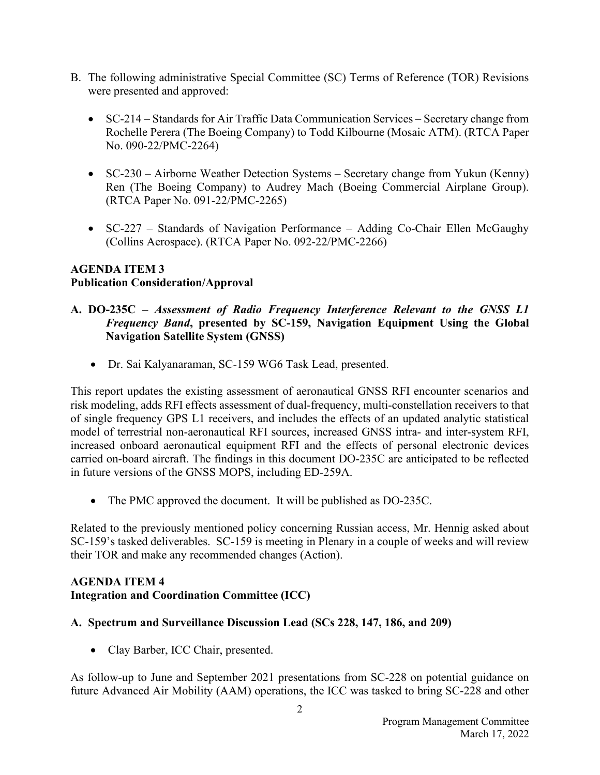- B. The following administrative Special Committee (SC) Terms of Reference (TOR) Revisions were presented and approved:
	- SC-214 Standards for Air Traffic Data Communication Services Secretary change from Rochelle Perera (The Boeing Company) to Todd Kilbourne (Mosaic ATM). (RTCA Paper No. 090-22/PMC-2264)
	- SC-230 Airborne Weather Detection Systems Secretary change from Yukun (Kenny) Ren (The Boeing Company) to Audrey Mach (Boeing Commercial Airplane Group). (RTCA Paper No. 091-22/PMC-2265)
	- SC-227 Standards of Navigation Performance Adding Co-Chair Ellen McGaughy (Collins Aerospace). (RTCA Paper No. 092-22/PMC-2266)

### **AGENDA ITEM 3 Publication Consideration/Approval**

### **A. DO-235C –** *Assessment of Radio Frequency Interference Relevant to the GNSS L1 Frequency Band***, presented by SC-159, Navigation Equipment Using the Global Navigation Satellite System (GNSS)**

• Dr. Sai Kalyanaraman, SC-159 WG6 Task Lead, presented.

This report updates the existing assessment of aeronautical GNSS RFI encounter scenarios and risk modeling, adds RFI effects assessment of dual-frequency, multi-constellation receivers to that of single frequency GPS L1 receivers, and includes the effects of an updated analytic statistical model of terrestrial non-aeronautical RFI sources, increased GNSS intra- and inter-system RFI, increased onboard aeronautical equipment RFI and the effects of personal electronic devices carried on-board aircraft. The findings in this document DO-235C are anticipated to be reflected in future versions of the GNSS MOPS, including ED-259A.

• The PMC approved the document. It will be published as DO-235C.

Related to the previously mentioned policy concerning Russian access, Mr. Hennig asked about SC-159's tasked deliverables. SC-159 is meeting in Plenary in a couple of weeks and will review their TOR and make any recommended changes (Action).

### **AGENDA ITEM 4 Integration and Coordination Committee (ICC)**

### **A. Spectrum and Surveillance Discussion Lead (SCs 228, 147, 186, and 209)**

• Clay Barber, ICC Chair, presented.

As follow-up to June and September 2021 presentations from SC-228 on potential guidance on future Advanced Air Mobility (AAM) operations, the ICC was tasked to bring SC-228 and other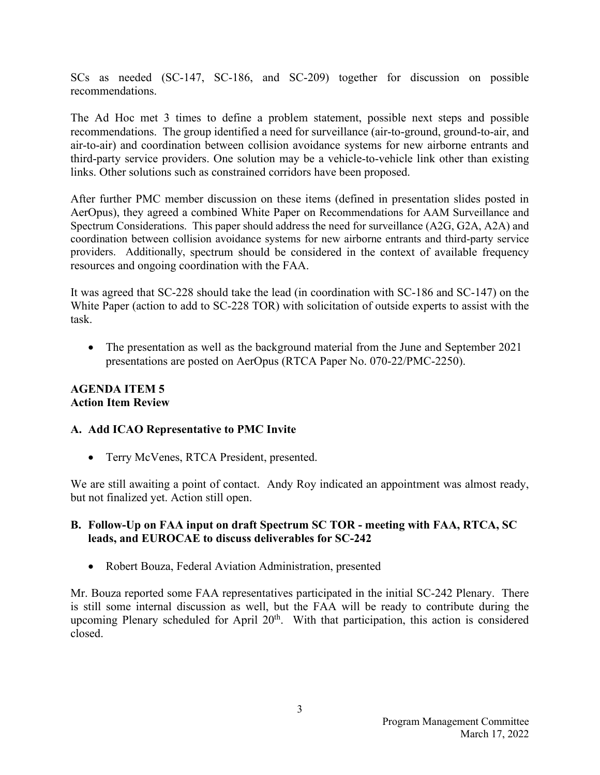SCs as needed (SC-147, SC-186, and SC-209) together for discussion on possible recommendations.

The Ad Hoc met 3 times to define a problem statement, possible next steps and possible recommendations. The group identified a need for surveillance (air-to-ground, ground-to-air, and air-to-air) and coordination between collision avoidance systems for new airborne entrants and third-party service providers. One solution may be a vehicle-to-vehicle link other than existing links. Other solutions such as constrained corridors have been proposed.

After further PMC member discussion on these items (defined in presentation slides posted in AerOpus), they agreed a combined White Paper on Recommendations for AAM Surveillance and Spectrum Considerations. This paper should address the need for surveillance (A2G, G2A, A2A) and coordination between collision avoidance systems for new airborne entrants and third-party service providers. Additionally, spectrum should be considered in the context of available frequency resources and ongoing coordination with the FAA.

It was agreed that SC-228 should take the lead (in coordination with SC-186 and SC-147) on the White Paper (action to add to SC-228 TOR) with solicitation of outside experts to assist with the task.

• The presentation as well as the background material from the June and September 2021 presentations are posted on AerOpus (RTCA Paper No. 070-22/PMC-2250).

### **AGENDA ITEM 5 Action Item Review**

### **A. Add ICAO Representative to PMC Invite**

• Terry McVenes, RTCA President, presented.

We are still awaiting a point of contact. Andy Roy indicated an appointment was almost ready, but not finalized yet. Action still open.

# **B. Follow-Up on FAA input on draft Spectrum SC TOR - meeting with FAA, RTCA, SC leads, and EUROCAE to discuss deliverables for SC-242**

• Robert Bouza, Federal Aviation Administration, presented

Mr. Bouza reported some FAA representatives participated in the initial SC-242 Plenary. There is still some internal discussion as well, but the FAA will be ready to contribute during the upcoming Plenary scheduled for April 20<sup>th</sup>. With that participation, this action is considered closed.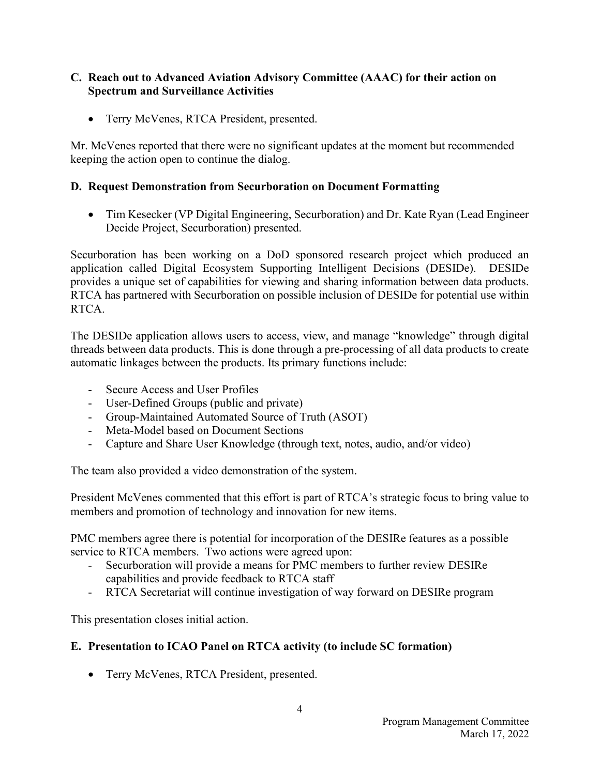### **C. Reach out to Advanced Aviation Advisory Committee (AAAC) for their action on Spectrum and Surveillance Activities**

• Terry McVenes, RTCA President, presented.

Mr. McVenes reported that there were no significant updates at the moment but recommended keeping the action open to continue the dialog.

### **D. Request Demonstration from Securboration on Document Formatting**

• Tim Kesecker (VP Digital Engineering, Securboration) and Dr. Kate Ryan (Lead Engineer Decide Project, Securboration) presented.

Securboration has been working on a DoD sponsored research project which produced an application called Digital Ecosystem Supporting Intelligent Decisions (DESIDe). DESIDe provides a unique set of capabilities for viewing and sharing information between data products. RTCA has partnered with Securboration on possible inclusion of DESIDe for potential use within RTCA.

The DESIDe application allows users to access, view, and manage "knowledge" through digital threads between data products. This is done through a pre-processing of all data products to create automatic linkages between the products. Its primary functions include:

- Secure Access and User Profiles
- User-Defined Groups (public and private)
- Group-Maintained Automated Source of Truth (ASOT)
- Meta-Model based on Document Sections
- Capture and Share User Knowledge (through text, notes, audio, and/or video)

The team also provided a video demonstration of the system.

President McVenes commented that this effort is part of RTCA's strategic focus to bring value to members and promotion of technology and innovation for new items.

PMC members agree there is potential for incorporation of the DESIRe features as a possible service to RTCA members. Two actions were agreed upon:

- Securboration will provide a means for PMC members to further review DESIRe capabilities and provide feedback to RTCA staff
- RTCA Secretariat will continue investigation of way forward on DESIRe program

This presentation closes initial action.

### **E. Presentation to ICAO Panel on RTCA activity (to include SC formation)**

• Terry McVenes, RTCA President, presented.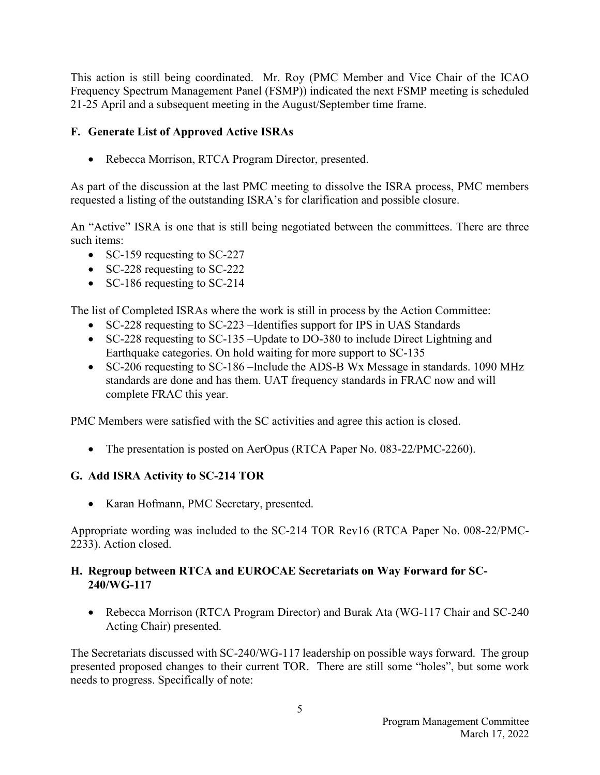This action is still being coordinated. Mr. Roy (PMC Member and Vice Chair of the ICAO Frequency Spectrum Management Panel (FSMP)) indicated the next FSMP meeting is scheduled 21-25 April and a subsequent meeting in the August/September time frame.

# **F. Generate List of Approved Active ISRAs**

• Rebecca Morrison, RTCA Program Director, presented.

As part of the discussion at the last PMC meeting to dissolve the ISRA process, PMC members requested a listing of the outstanding ISRA's for clarification and possible closure.

An "Active" ISRA is one that is still being negotiated between the committees. There are three such items:

- SC-159 requesting to SC-227
- SC-228 requesting to SC-222
- SC-186 requesting to SC-214

The list of Completed ISRAs where the work is still in process by the Action Committee:

- SC-228 requesting to SC-223 Identifies support for IPS in UAS Standards
- SC-228 requesting to SC-135 Update to DO-380 to include Direct Lightning and Earthquake categories. On hold waiting for more support to SC-135
- SC-206 requesting to SC-186 –Include the ADS-B Wx Message in standards. 1090 MHz standards are done and has them. UAT frequency standards in FRAC now and will complete FRAC this year.

PMC Members were satisfied with the SC activities and agree this action is closed.

• The presentation is posted on AerOpus (RTCA Paper No. 083-22/PMC-2260).

### **G. Add ISRA Activity to SC-214 TOR**

• Karan Hofmann, PMC Secretary, presented.

Appropriate wording was included to the SC-214 TOR Rev16 (RTCA Paper No. 008-22/PMC-2233). Action closed.

### **H. Regroup between RTCA and EUROCAE Secretariats on Way Forward for SC-240/WG-117**

• Rebecca Morrison (RTCA Program Director) and Burak Ata (WG-117 Chair and SC-240 Acting Chair) presented.

The Secretariats discussed with SC-240/WG-117 leadership on possible ways forward. The group presented proposed changes to their current TOR. There are still some "holes", but some work needs to progress. Specifically of note: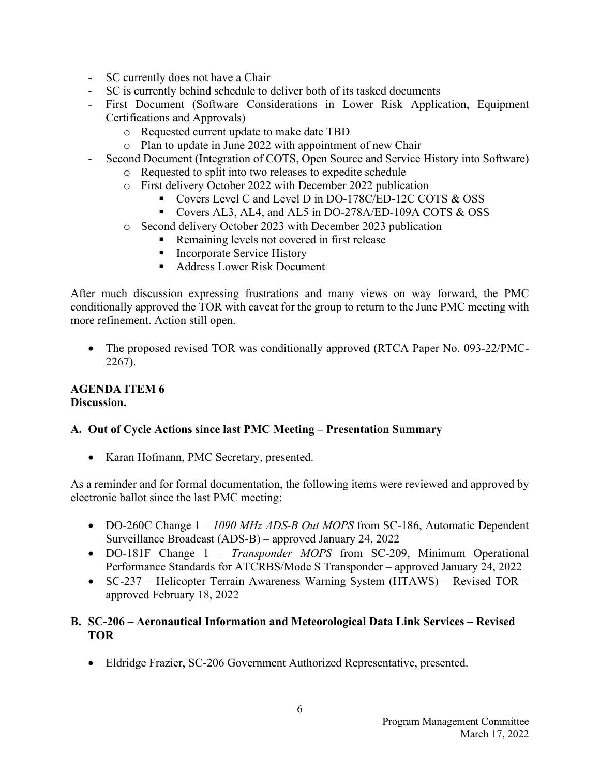- SC currently does not have a Chair
- SC is currently behind schedule to deliver both of its tasked documents
- First Document (Software Considerations in Lower Risk Application, Equipment Certifications and Approvals)
	- o Requested current update to make date TBD
	- o Plan to update in June 2022 with appointment of new Chair
- Second Document (Integration of COTS, Open Source and Service History into Software)
	- o Requested to split into two releases to expedite schedule
	- o First delivery October 2022 with December 2022 publication
		- Covers Level C and Level D in DO-178C/ED-12C COTS & OSS
		- Covers AL3, AL4, and AL5 in DO-278A/ED-109A COTS & OSS
	- o Second delivery October 2023 with December 2023 publication
		- Remaining levels not covered in first release
		- **Incorporate Service History**
		- Address Lower Risk Document

After much discussion expressing frustrations and many views on way forward, the PMC conditionally approved the TOR with caveat for the group to return to the June PMC meeting with more refinement. Action still open.

• The proposed revised TOR was conditionally approved (RTCA Paper No. 093-22/PMC-2267).

### **AGENDA ITEM 6 Discussion.**

### **A. Out of Cycle Actions since last PMC Meeting – Presentation Summary**

• Karan Hofmann, PMC Secretary, presented.

As a reminder and for formal documentation, the following items were reviewed and approved by electronic ballot since the last PMC meeting:

- DO-260C Change 1 *1090 MHz ADS-B Out MOPS* from SC-186, Automatic Dependent Surveillance Broadcast (ADS-B) – approved January 24, 2022
- DO-181F Change 1 *Transponder MOPS* from SC-209, Minimum Operational Performance Standards for ATCRBS/Mode S Transponder – approved January 24, 2022
- SC-237 Helicopter Terrain Awareness Warning System (HTAWS) Revised TOR approved February 18, 2022

# **B. SC-206 – Aeronautical Information and Meteorological Data Link Services – Revised TOR**

• Eldridge Frazier, SC-206 Government Authorized Representative, presented.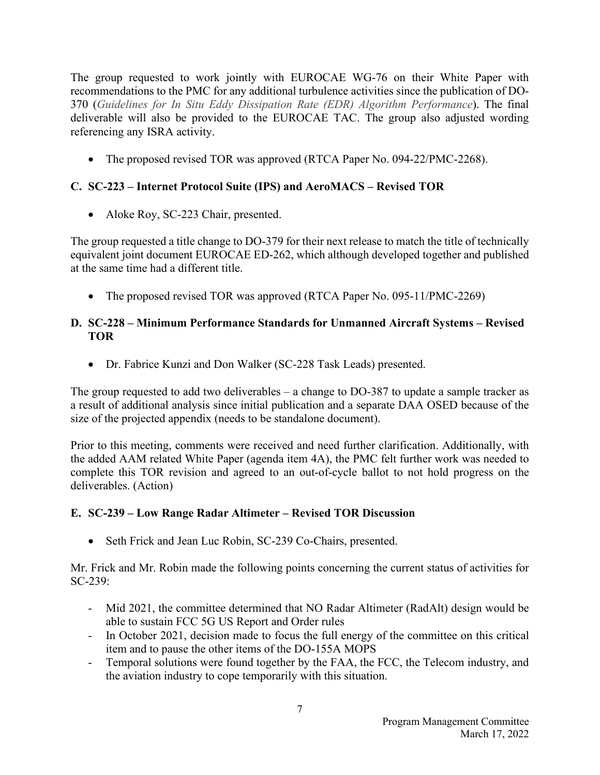The group requested to work jointly with EUROCAE WG-76 on their White Paper with recommendations to the PMC for any additional turbulence activities since the publication of DO-370 (*Guidelines for In Situ Eddy Dissipation Rate (EDR) Algorithm Performance*). The final deliverable will also be provided to the EUROCAE TAC. The group also adjusted wording referencing any ISRA activity.

• The proposed revised TOR was approved (RTCA Paper No. 094-22/PMC-2268).

# **C. SC-223 – Internet Protocol Suite (IPS) and AeroMACS – Revised TOR**

• Aloke Roy, SC-223 Chair, presented.

The group requested a title change to DO-379 for their next release to match the title of technically equivalent joint document EUROCAE ED-262, which although developed together and published at the same time had a different title.

• The proposed revised TOR was approved (RTCA Paper No. 095-11/PMC-2269)

# **D. SC-228 – Minimum Performance Standards for Unmanned Aircraft Systems – Revised TOR**

• Dr. Fabrice Kunzi and Don Walker (SC-228 Task Leads) presented.

The group requested to add two deliverables – a change to DO-387 to update a sample tracker as a result of additional analysis since initial publication and a separate DAA OSED because of the size of the projected appendix (needs to be standalone document).

Prior to this meeting, comments were received and need further clarification. Additionally, with the added AAM related White Paper (agenda item 4A), the PMC felt further work was needed to complete this TOR revision and agreed to an out-of-cycle ballot to not hold progress on the deliverables. (Action)

# **E. SC-239 – Low Range Radar Altimeter – Revised TOR Discussion**

• Seth Frick and Jean Luc Robin, SC-239 Co-Chairs, presented.

Mr. Frick and Mr. Robin made the following points concerning the current status of activities for SC-239:

- Mid 2021, the committee determined that NO Radar Altimeter (RadAlt) design would be able to sustain FCC 5G US Report and Order rules
- In October 2021, decision made to focus the full energy of the committee on this critical item and to pause the other items of the DO-155A MOPS
- Temporal solutions were found together by the FAA, the FCC, the Telecom industry, and the aviation industry to cope temporarily with this situation.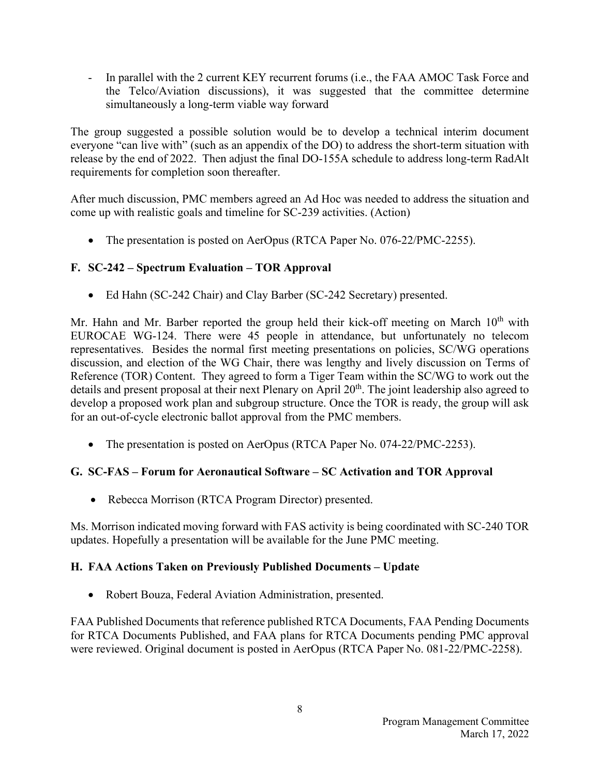- In parallel with the 2 current KEY recurrent forums (i.e., the FAA AMOC Task Force and the Telco/Aviation discussions), it was suggested that the committee determine simultaneously a long-term viable way forward

The group suggested a possible solution would be to develop a technical interim document everyone "can live with" (such as an appendix of the DO) to address the short-term situation with release by the end of 2022. Then adjust the final DO-155A schedule to address long-term RadAlt requirements for completion soon thereafter.

After much discussion, PMC members agreed an Ad Hoc was needed to address the situation and come up with realistic goals and timeline for SC-239 activities. (Action)

• The presentation is posted on AerOpus (RTCA Paper No. 076-22/PMC-2255).

# **F. SC-242 – Spectrum Evaluation – TOR Approval**

• Ed Hahn (SC-242 Chair) and Clay Barber (SC-242 Secretary) presented.

Mr. Hahn and Mr. Barber reported the group held their kick-off meeting on March  $10<sup>th</sup>$  with EUROCAE WG-124. There were 45 people in attendance, but unfortunately no telecom representatives. Besides the normal first meeting presentations on policies, SC/WG operations discussion, and election of the WG Chair, there was lengthy and lively discussion on Terms of Reference (TOR) Content. They agreed to form a Tiger Team within the SC/WG to work out the details and present proposal at their next Plenary on April 20<sup>th</sup>. The joint leadership also agreed to develop a proposed work plan and subgroup structure. Once the TOR is ready, the group will ask for an out-of-cycle electronic ballot approval from the PMC members.

• The presentation is posted on AerOpus (RTCA Paper No. 074-22/PMC-2253).

# **G. SC-FAS – Forum for Aeronautical Software – SC Activation and TOR Approval**

• Rebecca Morrison (RTCA Program Director) presented.

Ms. Morrison indicated moving forward with FAS activity is being coordinated with SC-240 TOR updates. Hopefully a presentation will be available for the June PMC meeting.

# **H. FAA Actions Taken on Previously Published Documents – Update**

• Robert Bouza, Federal Aviation Administration, presented.

FAA Published Documents that reference published RTCA Documents, FAA Pending Documents for RTCA Documents Published, and FAA plans for RTCA Documents pending PMC approval were reviewed. Original document is posted in AerOpus (RTCA Paper No. 081-22/PMC-2258).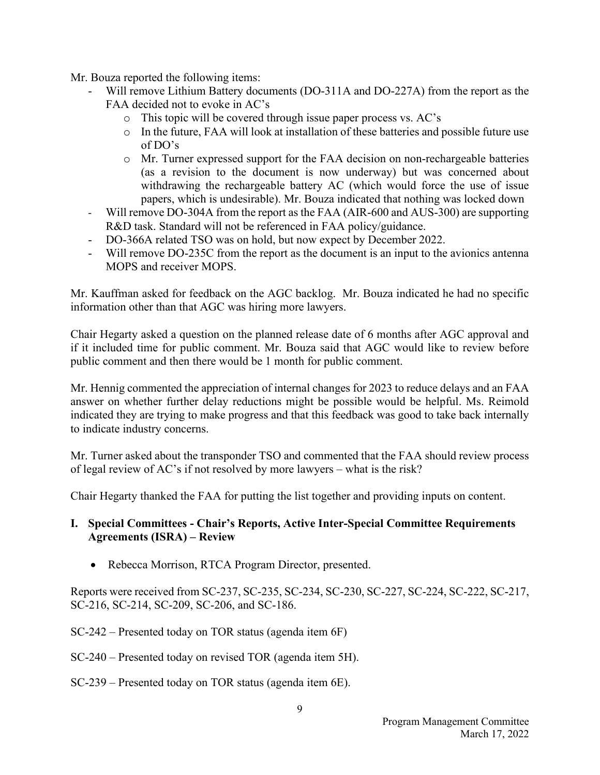Mr. Bouza reported the following items:

- Will remove Lithium Battery documents (DO-311A and DO-227A) from the report as the FAA decided not to evoke in AC's
	- o This topic will be covered through issue paper process vs. AC's
	- o In the future, FAA will look at installation of these batteries and possible future use of DO's
	- o Mr. Turner expressed support for the FAA decision on non-rechargeable batteries (as a revision to the document is now underway) but was concerned about withdrawing the rechargeable battery AC (which would force the use of issue papers, which is undesirable). Mr. Bouza indicated that nothing was locked down
- Will remove DO-304A from the report as the FAA (AIR-600 and AUS-300) are supporting R&D task. Standard will not be referenced in FAA policy/guidance.
- DO-366A related TSO was on hold, but now expect by December 2022.
- Will remove DO-235C from the report as the document is an input to the avionics antenna MOPS and receiver MOPS.

Mr. Kauffman asked for feedback on the AGC backlog. Mr. Bouza indicated he had no specific information other than that AGC was hiring more lawyers.

Chair Hegarty asked a question on the planned release date of 6 months after AGC approval and if it included time for public comment. Mr. Bouza said that AGC would like to review before public comment and then there would be 1 month for public comment.

Mr. Hennig commented the appreciation of internal changes for 2023 to reduce delays and an FAA answer on whether further delay reductions might be possible would be helpful. Ms. Reimold indicated they are trying to make progress and that this feedback was good to take back internally to indicate industry concerns.

Mr. Turner asked about the transponder TSO and commented that the FAA should review process of legal review of AC's if not resolved by more lawyers – what is the risk?

Chair Hegarty thanked the FAA for putting the list together and providing inputs on content.

### **I. Special Committees - Chair's Reports, Active Inter-Special Committee Requirements Agreements (ISRA) – Review**

• Rebecca Morrison, RTCA Program Director, presented.

Reports were received from SC-237, SC-235, SC-234, SC-230, SC-227, SC-224, SC-222, SC-217, SC-216, SC-214, SC-209, SC-206, and SC-186.

SC-242 – Presented today on TOR status (agenda item 6F)

- SC-240 Presented today on revised TOR (agenda item 5H).
- SC-239 Presented today on TOR status (agenda item 6E).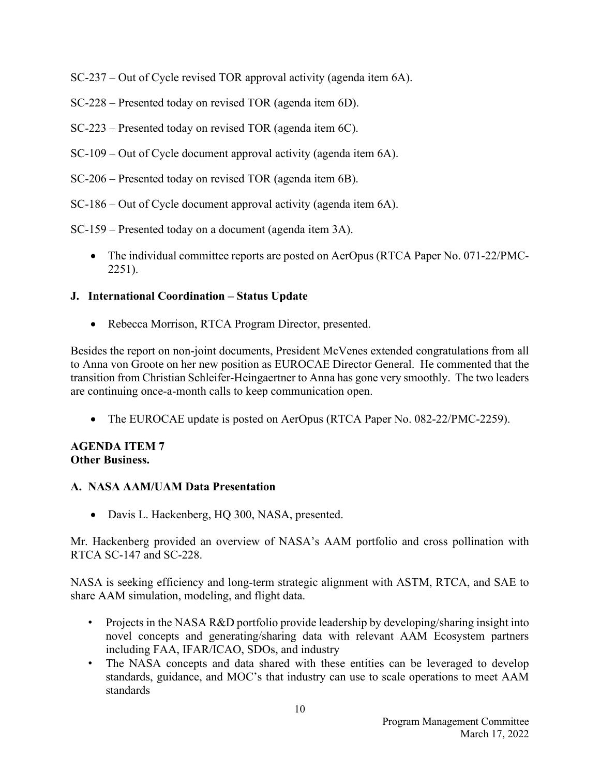SC-237 – Out of Cycle revised TOR approval activity (agenda item 6A).

SC-228 – Presented today on revised TOR (agenda item 6D).

- SC-223 Presented today on revised TOR (agenda item 6C).
- SC-109 Out of Cycle document approval activity (agenda item 6A).
- SC-206 Presented today on revised TOR (agenda item 6B).
- SC-186 Out of Cycle document approval activity (agenda item 6A).

SC-159 – Presented today on a document (agenda item 3A).

• The individual committee reports are posted on AerOpus (RTCA Paper No. 071-22/PMC-2251).

# **J. International Coordination – Status Update**

• Rebecca Morrison, RTCA Program Director, presented.

Besides the report on non-joint documents, President McVenes extended congratulations from all to Anna von Groote on her new position as EUROCAE Director General. He commented that the transition from Christian Schleifer-Heingaertner to Anna has gone very smoothly. The two leaders are continuing once-a-month calls to keep communication open.

• The EUROCAE update is posted on AerOpus (RTCA Paper No. 082-22/PMC-2259).

#### **AGENDA ITEM 7 Other Business.**

### **A. NASA AAM/UAM Data Presentation**

• Davis L. Hackenberg, HQ 300, NASA, presented.

Mr. Hackenberg provided an overview of NASA's AAM portfolio and cross pollination with RTCA SC-147 and SC-228.

NASA is seeking efficiency and long-term strategic alignment with ASTM, RTCA, and SAE to share AAM simulation, modeling, and flight data.

- Projects in the NASA R&D portfolio provide leadership by developing/sharing insight into novel concepts and generating/sharing data with relevant AAM Ecosystem partners including FAA, IFAR/ICAO, SDOs, and industry
- The NASA concepts and data shared with these entities can be leveraged to develop standards, guidance, and MOC's that industry can use to scale operations to meet AAM standards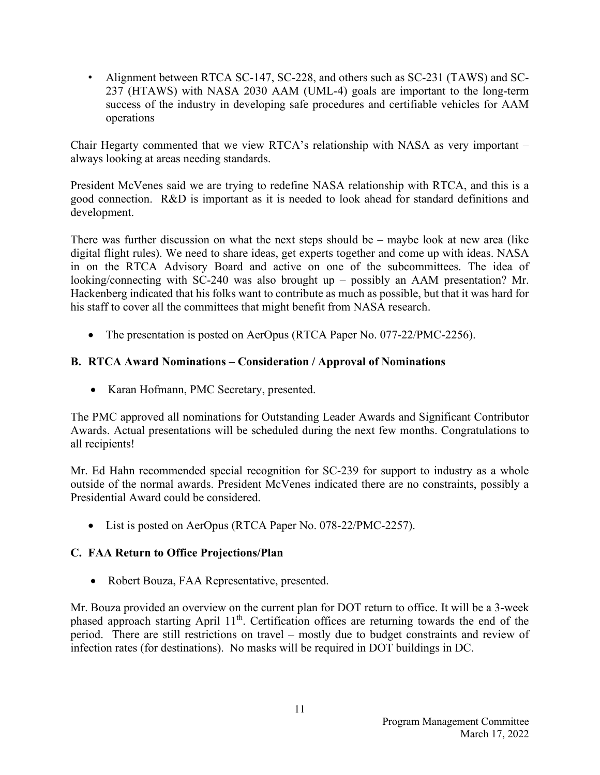• Alignment between RTCA SC-147, SC-228, and others such as SC-231 (TAWS) and SC-237 (HTAWS) with NASA 2030 AAM (UML-4) goals are important to the long-term success of the industry in developing safe procedures and certifiable vehicles for AAM operations

Chair Hegarty commented that we view RTCA's relationship with NASA as very important – always looking at areas needing standards.

President McVenes said we are trying to redefine NASA relationship with RTCA, and this is a good connection. R&D is important as it is needed to look ahead for standard definitions and development.

There was further discussion on what the next steps should be – maybe look at new area (like digital flight rules). We need to share ideas, get experts together and come up with ideas. NASA in on the RTCA Advisory Board and active on one of the subcommittees. The idea of looking/connecting with SC-240 was also brought up – possibly an AAM presentation? Mr. Hackenberg indicated that his folks want to contribute as much as possible, but that it was hard for his staff to cover all the committees that might benefit from NASA research.

• The presentation is posted on AerOpus (RTCA Paper No. 077-22/PMC-2256).

# **B. RTCA Award Nominations – Consideration / Approval of Nominations**

• Karan Hofmann, PMC Secretary, presented.

The PMC approved all nominations for Outstanding Leader Awards and Significant Contributor Awards. Actual presentations will be scheduled during the next few months. Congratulations to all recipients!

Mr. Ed Hahn recommended special recognition for SC-239 for support to industry as a whole outside of the normal awards. President McVenes indicated there are no constraints, possibly a Presidential Award could be considered.

• List is posted on AerOpus (RTCA Paper No. 078-22/PMC-2257).

### **C. FAA Return to Office Projections/Plan**

• Robert Bouza, FAA Representative, presented.

Mr. Bouza provided an overview on the current plan for DOT return to office. It will be a 3-week phased approach starting April 11<sup>th</sup>. Certification offices are returning towards the end of the period. There are still restrictions on travel – mostly due to budget constraints and review of infection rates (for destinations). No masks will be required in DOT buildings in DC.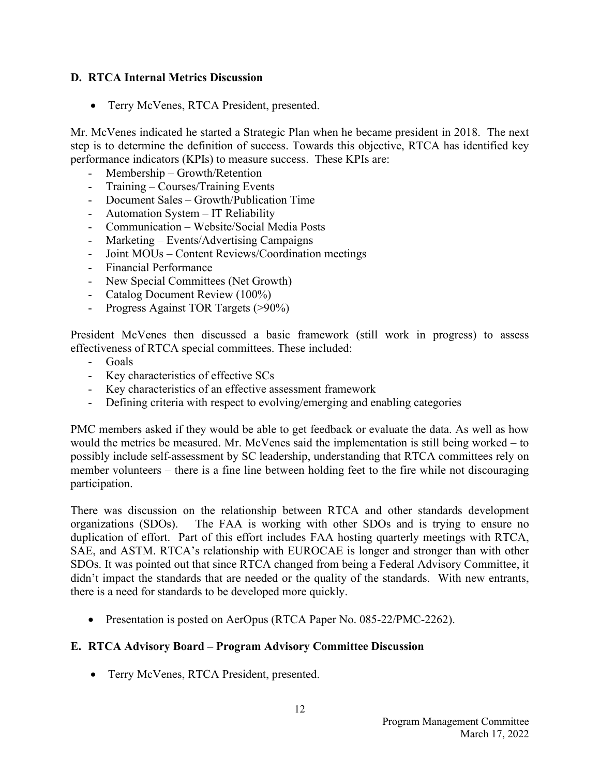### **D. RTCA Internal Metrics Discussion**

• Terry McVenes, RTCA President, presented.

Mr. McVenes indicated he started a Strategic Plan when he became president in 2018. The next step is to determine the definition of success. Towards this objective, RTCA has identified key performance indicators (KPIs) to measure success. These KPIs are:

- Membership Growth/Retention
- Training Courses/Training Events
- Document Sales Growth/Publication Time
- Automation System IT Reliability
- Communication Website/Social Media Posts
- Marketing Events/Advertising Campaigns
- Joint MOUs Content Reviews/Coordination meetings
- Financial Performance
- New Special Committees (Net Growth)
- Catalog Document Review (100%)
- Progress Against TOR Targets (>90%)

President McVenes then discussed a basic framework (still work in progress) to assess effectiveness of RTCA special committees. These included:

- Goals
- Key characteristics of effective SCs
- Key characteristics of an effective assessment framework
- Defining criteria with respect to evolving/emerging and enabling categories

PMC members asked if they would be able to get feedback or evaluate the data. As well as how would the metrics be measured. Mr. McVenes said the implementation is still being worked – to possibly include self-assessment by SC leadership, understanding that RTCA committees rely on member volunteers – there is a fine line between holding feet to the fire while not discouraging participation.

There was discussion on the relationship between RTCA and other standards development organizations (SDOs). The FAA is working with other SDOs and is trying to ensure no duplication of effort. Part of this effort includes FAA hosting quarterly meetings with RTCA, SAE, and ASTM. RTCA's relationship with EUROCAE is longer and stronger than with other SDOs. It was pointed out that since RTCA changed from being a Federal Advisory Committee, it didn't impact the standards that are needed or the quality of the standards. With new entrants, there is a need for standards to be developed more quickly.

• Presentation is posted on AerOpus (RTCA Paper No. 085-22/PMC-2262).

### **E. RTCA Advisory Board – Program Advisory Committee Discussion**

• Terry McVenes, RTCA President, presented.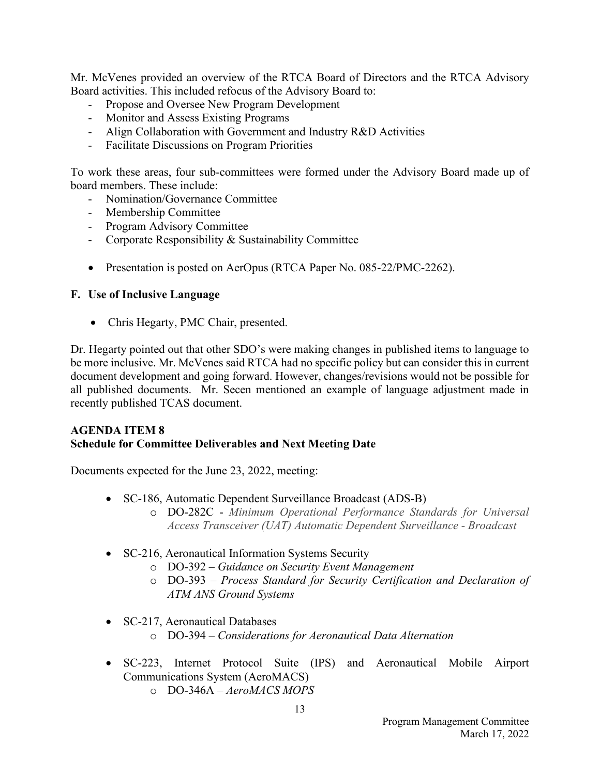Mr. McVenes provided an overview of the RTCA Board of Directors and the RTCA Advisory Board activities. This included refocus of the Advisory Board to:

- Propose and Oversee New Program Development
- Monitor and Assess Existing Programs
- Align Collaboration with Government and Industry R&D Activities
- Facilitate Discussions on Program Priorities

To work these areas, four sub-committees were formed under the Advisory Board made up of board members. These include:

- Nomination/Governance Committee
- Membership Committee
- Program Advisory Committee
- Corporate Responsibility & Sustainability Committee
- Presentation is posted on AerOpus (RTCA Paper No. 085-22/PMC-2262).

### **F. Use of Inclusive Language**

• Chris Hegarty, PMC Chair, presented.

Dr. Hegarty pointed out that other SDO's were making changes in published items to language to be more inclusive. Mr. McVenes said RTCA had no specific policy but can consider this in current document development and going forward. However, changes/revisions would not be possible for all published documents. Mr. Secen mentioned an example of language adjustment made in recently published TCAS document.

### **AGENDA ITEM 8 Schedule for Committee Deliverables and Next Meeting Date**

Documents expected for the June 23, 2022, meeting:

- SC-186, Automatic Dependent Surveillance Broadcast (ADS-B) o DO-282C - *Minimum Operational Performance Standards for Universal Access Transceiver (UAT) Automatic Dependent Surveillance - Broadcast*
- SC-216, Aeronautical Information Systems Security
	- o DO-392 *Guidance on Security Event Management*
	- o DO-393 *Process Standard for Security Certification and Declaration of ATM ANS Ground Systems*
- SC-217, Aeronautical Databases
	- o DO-394 *Considerations for Aeronautical Data Alternation*
- SC-223, Internet Protocol Suite (IPS) and Aeronautical Mobile Airport Communications System (AeroMACS)
	- o DO-346A *AeroMACS MOPS*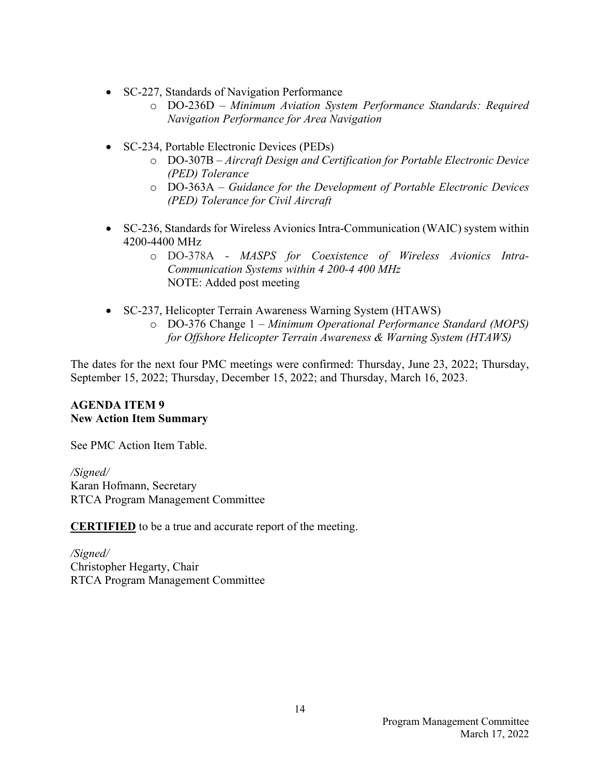- SC-227, Standards of Navigation Performance
	- o DO-236D *Minimum Aviation System Performance Standards: Required Navigation Performance for Area Navigation*
- SC-234, Portable Electronic Devices (PEDs)
	- o DO-307B *Aircraft Design and Certification for Portable Electronic Device (PED) Tolerance*
	- o DO-363A *Guidance for the Development of Portable Electronic Devices (PED) Tolerance for Civil Aircraft*
- SC-236, Standards for Wireless Avionics Intra-Communication (WAIC) system within 4200-4400 MHz
	- o DO-378A *MASPS for Coexistence of Wireless Avionics Intra-Communication Systems within 4 200-4 400 MHz* NOTE: Added post meeting
- SC-237, Helicopter Terrain Awareness Warning System (HTAWS)
	- o DO-376 Change 1 *Minimum Operational Performance Standard (MOPS) for Offshore Helicopter Terrain Awareness & Warning System (HTAWS)*

The dates for the next four PMC meetings were confirmed: Thursday, June 23, 2022; Thursday, September 15, 2022; Thursday, December 15, 2022; and Thursday, March 16, 2023.

#### **AGENDA ITEM 9 New Action Item Summary**

See PMC Action Item Table.

*/Signed/*  Karan Hofmann, Secretary RTCA Program Management Committee

**CERTIFIED** to be a true and accurate report of the meeting.

*/Signed/*  Christopher Hegarty, Chair RTCA Program Management Committee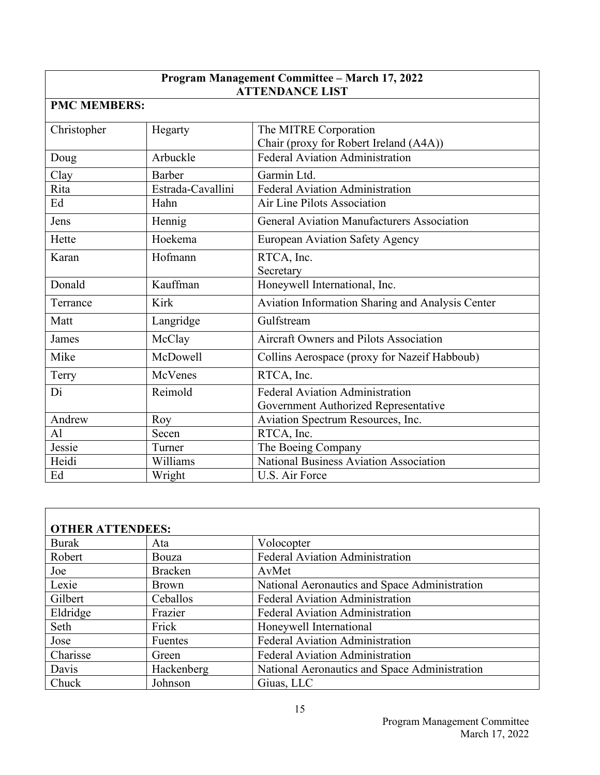| Program Management Committee - March 17, 2022<br><b>ATTENDANCE LIST</b> |                   |                                                                           |  |  |
|-------------------------------------------------------------------------|-------------------|---------------------------------------------------------------------------|--|--|
| <b>PMC MEMBERS:</b>                                                     |                   |                                                                           |  |  |
| Christopher                                                             | Hegarty           | The MITRE Corporation<br>Chair (proxy for Robert Ireland (A4A))           |  |  |
| Doug                                                                    | Arbuckle          | <b>Federal Aviation Administration</b>                                    |  |  |
| Clay                                                                    | Barber            | Garmin Ltd.                                                               |  |  |
| Rita                                                                    | Estrada-Cavallini | Federal Aviation Administration                                           |  |  |
| Ed                                                                      | Hahn              | Air Line Pilots Association                                               |  |  |
| Jens                                                                    | Hennig            | <b>General Aviation Manufacturers Association</b>                         |  |  |
| Hette                                                                   | Hoekema           | <b>European Aviation Safety Agency</b>                                    |  |  |
| Karan                                                                   | Hofmann           | RTCA, Inc.<br>Secretary                                                   |  |  |
| Donald                                                                  | Kauffman          | Honeywell International, Inc.                                             |  |  |
| Terrance                                                                | <b>Kirk</b>       | Aviation Information Sharing and Analysis Center                          |  |  |
| Matt                                                                    | Langridge         | Gulfstream                                                                |  |  |
| James                                                                   | McClay            | <b>Aircraft Owners and Pilots Association</b>                             |  |  |
| Mike                                                                    | <b>McDowell</b>   | Collins Aerospace (proxy for Nazeif Habboub)                              |  |  |
| Terry                                                                   | McVenes           | RTCA, Inc.                                                                |  |  |
| Di                                                                      | Reimold           | Federal Aviation Administration                                           |  |  |
| Andrew                                                                  | Roy               | Government Authorized Representative<br>Aviation Spectrum Resources, Inc. |  |  |
| AI                                                                      | Secen             | RTCA, Inc.                                                                |  |  |
| Jessie                                                                  | Turner            | The Boeing Company                                                        |  |  |
| Heidi                                                                   | Williams          | National Business Aviation Association                                    |  |  |
| Ed                                                                      | Wright            | U.S. Air Force                                                            |  |  |

| <b>OTHER ATTENDEES:</b> |                |                                               |  |
|-------------------------|----------------|-----------------------------------------------|--|
| <b>Burak</b>            | Ata            | Volocopter                                    |  |
| Robert                  | Bouza          | <b>Federal Aviation Administration</b>        |  |
| Joe                     | <b>Bracken</b> | AvMet                                         |  |
| Lexie                   | <b>Brown</b>   | National Aeronautics and Space Administration |  |
| Gilbert                 | Ceballos       | <b>Federal Aviation Administration</b>        |  |
| Eldridge                | Frazier        | <b>Federal Aviation Administration</b>        |  |
| Seth                    | Frick          | Honeywell International                       |  |
| Jose                    | Fuentes        | <b>Federal Aviation Administration</b>        |  |
| Charisse                | Green          | <b>Federal Aviation Administration</b>        |  |
| Davis                   | Hackenberg     | National Aeronautics and Space Administration |  |
| Chuck                   | Johnson        | Giuas, LLC                                    |  |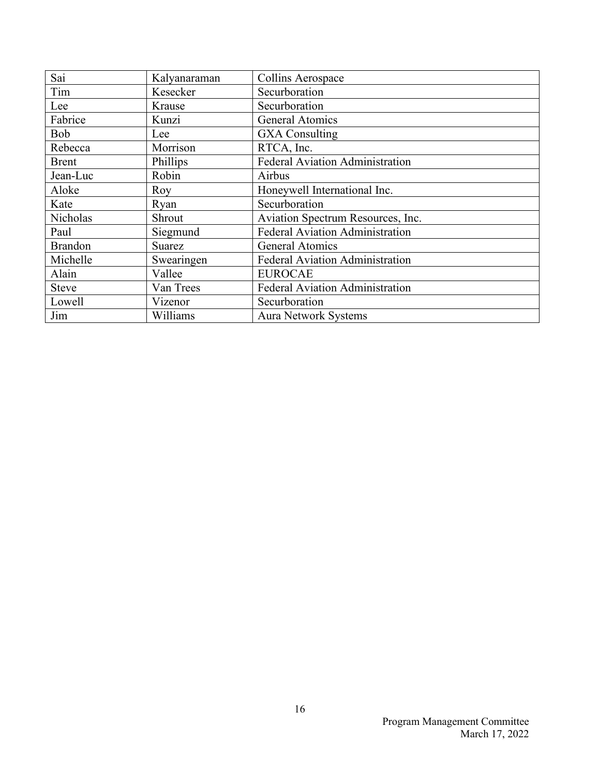| Sai            | Kalyanaraman  | Collins Aerospace                      |  |
|----------------|---------------|----------------------------------------|--|
| Tim            | Kesecker      | Securboration                          |  |
| Lee            | Krause        | Securboration                          |  |
| Fabrice        | Kunzi         | <b>General Atomics</b>                 |  |
| <b>Bob</b>     | Lee           | <b>GXA</b> Consulting                  |  |
| Rebecca        | Morrison      | RTCA, Inc.                             |  |
| <b>Brent</b>   | Phillips      | Federal Aviation Administration        |  |
| Jean-Luc       | Robin         | Airbus                                 |  |
| Aloke          | Roy           | Honeywell International Inc.           |  |
| Kate           | Ryan          | Securboration                          |  |
| Nicholas       | Shrout        | Aviation Spectrum Resources, Inc.      |  |
| Paul           | Siegmund      | <b>Federal Aviation Administration</b> |  |
| <b>Brandon</b> | <b>Suarez</b> | General Atomics                        |  |
| Michelle       | Swearingen    | <b>Federal Aviation Administration</b> |  |
| Alain          | Vallee        | <b>EUROCAE</b>                         |  |
| <b>Steve</b>   | Van Trees     | <b>Federal Aviation Administration</b> |  |
| Lowell         | Vizenor       | Securboration                          |  |
| Jim            | Williams      | Aura Network Systems                   |  |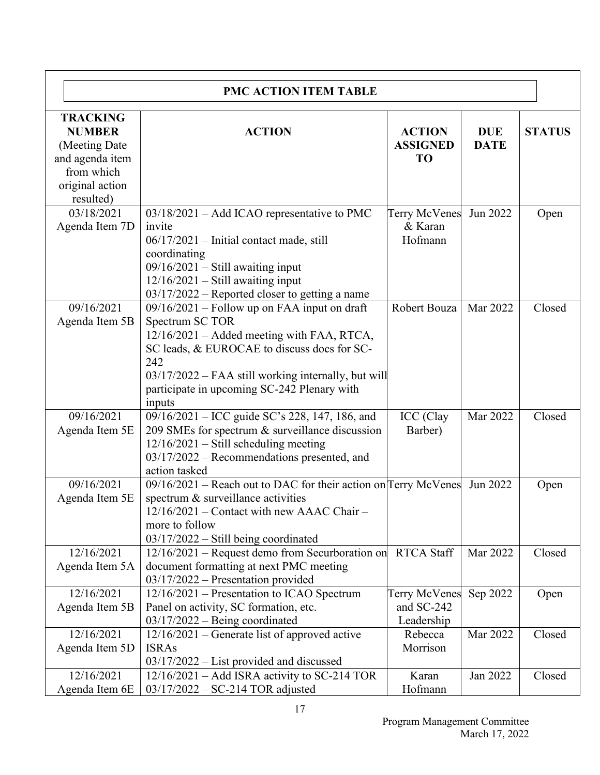| PMC ACTION ITEM TABLE                                                                                  |                                                                                                                                                                                                                                                                                       |                                                  |                           |               |
|--------------------------------------------------------------------------------------------------------|---------------------------------------------------------------------------------------------------------------------------------------------------------------------------------------------------------------------------------------------------------------------------------------|--------------------------------------------------|---------------------------|---------------|
| <b>TRACKING</b><br><b>NUMBER</b><br>(Meeting Date)<br>and agenda item<br>from which<br>original action | <b>ACTION</b>                                                                                                                                                                                                                                                                         | <b>ACTION</b><br><b>ASSIGNED</b><br><b>TO</b>    | <b>DUE</b><br><b>DATE</b> | <b>STATUS</b> |
| resulted)<br>03/18/2021<br>Agenda Item 7D                                                              | $03/18/2021$ – Add ICAO representative to PMC<br>invite<br>$06/17/2021$ – Initial contact made, still<br>coordinating<br>$09/16/2021$ - Still awaiting input<br>$12/16/2021$ - Still awaiting input<br>03/17/2022 – Reported closer to getting a name                                 | <b>Terry McVenes</b><br>& Karan<br>Hofmann       | Jun 2022                  | Open          |
| 09/16/2021<br>Agenda Item 5B                                                                           | $09/16/2021$ – Follow up on FAA input on draft<br>Spectrum SC TOR<br>12/16/2021 – Added meeting with FAA, RTCA,<br>SC leads, & EUROCAE to discuss does for SC-<br>242<br>03/17/2022 – FAA still working internally, but will<br>participate in upcoming SC-242 Plenary with<br>inputs | Robert Bouza                                     | Mar 2022                  | Closed        |
| 09/16/2021<br>Agenda Item 5E                                                                           | 09/16/2021 – ICC guide SC's 228, 147, 186, and<br>209 SMEs for spectrum & surveillance discussion<br>$12/16/2021$ – Still scheduling meeting<br>$03/17/2022$ – Recommendations presented, and<br>action tasked                                                                        | ICC (Clay<br>Barber)                             | Mar 2022                  | Closed        |
| 09/16/2021<br>Agenda Item 5E                                                                           | $09/16/2021$ – Reach out to DAC for their action on Terry McVenes<br>spectrum & surveillance activities<br>12/16/2021 - Contact with new AAAC Chair -<br>more to follow<br>$03/17/2022$ – Still being coordinated                                                                     |                                                  | Jun 2022                  | Open          |
| 12/16/2021<br>Agenda Item 5A                                                                           | 12/16/2021 - Request demo from Securboration on<br>document formatting at next PMC meeting<br>03/17/2022 - Presentation provided                                                                                                                                                      | <b>RTCA Staff</b>                                | Mar 2022                  | Closed        |
| 12/16/2021<br>Agenda Item 5B                                                                           | 12/16/2021 – Presentation to ICAO Spectrum<br>Panel on activity, SC formation, etc.<br>$03/17/2022$ – Being coordinated                                                                                                                                                               | <b>Terry McVenes</b><br>and SC-242<br>Leadership | Sep 2022                  | Open          |
| 12/16/2021<br>Agenda Item 5D                                                                           | 12/16/2021 – Generate list of approved active<br><b>ISRAs</b><br>$03/17/2022$ – List provided and discussed                                                                                                                                                                           | Rebecca<br>Morrison                              | Mar 2022                  | Closed        |
| 12/16/2021<br>Agenda Item 6E                                                                           | $12/16/2021$ – Add ISRA activity to SC-214 TOR<br>$03/17/2022 - SC-214 TOR adjusted$                                                                                                                                                                                                  | Karan<br>Hofmann                                 | Jan 2022                  | Closed        |